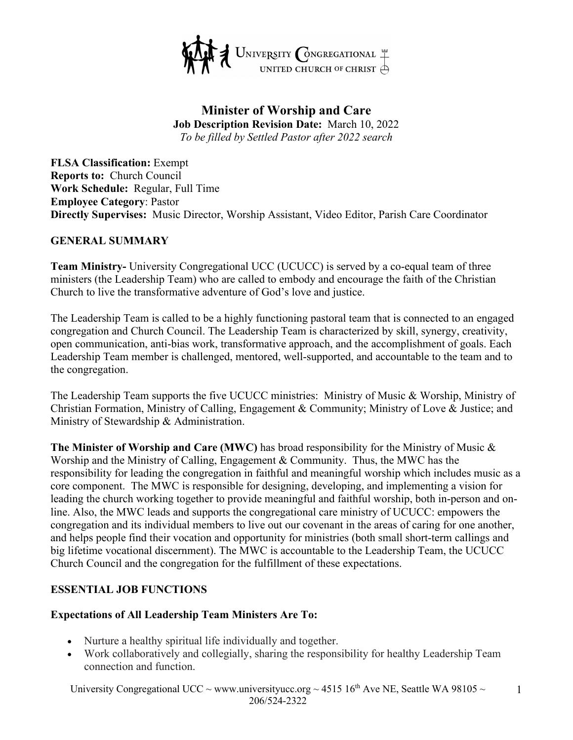

### **Minister of Worship and Care Job Description Revision Date:** March 10, 2022 *To be filled by Settled Pastor after 2022 search*

**FLSA Classification:** Exempt **Reports to:** Church Council **Work Schedule:** Regular, Full Time **Employee Category**: Pastor **Directly Supervises:** Music Director, Worship Assistant, Video Editor, Parish Care Coordinator

#### **GENERAL SUMMARY**

**Team Ministry-** University Congregational UCC (UCUCC) is served by a co-equal team of three ministers (the Leadership Team) who are called to embody and encourage the faith of the Christian Church to live the transformative adventure of God's love and justice.

The Leadership Team is called to be a highly functioning pastoral team that is connected to an engaged congregation and Church Council. The Leadership Team is characterized by skill, synergy, creativity, open communication, anti-bias work, transformative approach, and the accomplishment of goals. Each Leadership Team member is challenged, mentored, well-supported, and accountable to the team and to the congregation.

The Leadership Team supports the five UCUCC ministries: Ministry of Music & Worship, Ministry of Christian Formation, Ministry of Calling, Engagement & Community; Ministry of Love & Justice; and Ministry of Stewardship & Administration.

**The Minister of Worship and Care (MWC)** has broad responsibility for the Ministry of Music & Worship and the Ministry of Calling, Engagement & Community. Thus, the MWC has the responsibility for leading the congregation in faithful and meaningful worship which includes music as a core component. The MWC is responsible for designing, developing, and implementing a vision for leading the church working together to provide meaningful and faithful worship, both in-person and online. Also, the MWC leads and supports the congregational care ministry of UCUCC: empowers the congregation and its individual members to live out our covenant in the areas of caring for one another, and helps people find their vocation and opportunity for ministries (both small short-term callings and big lifetime vocational discernment). The MWC is accountable to the Leadership Team, the UCUCC Church Council and the congregation for the fulfillment of these expectations.

#### **ESSENTIAL JOB FUNCTIONS**

#### **Expectations of All Leadership Team Ministers Are To:**

- Nurture a healthy spiritual life individually and together.
- Work collaboratively and collegially, sharing the responsibility for healthy Leadership Team connection and function.

University Congregational UCC ~ www.universityucc.org ~ 4515 16<sup>th</sup> Ave NE, Seattle WA 98105 ~ 206/524-2322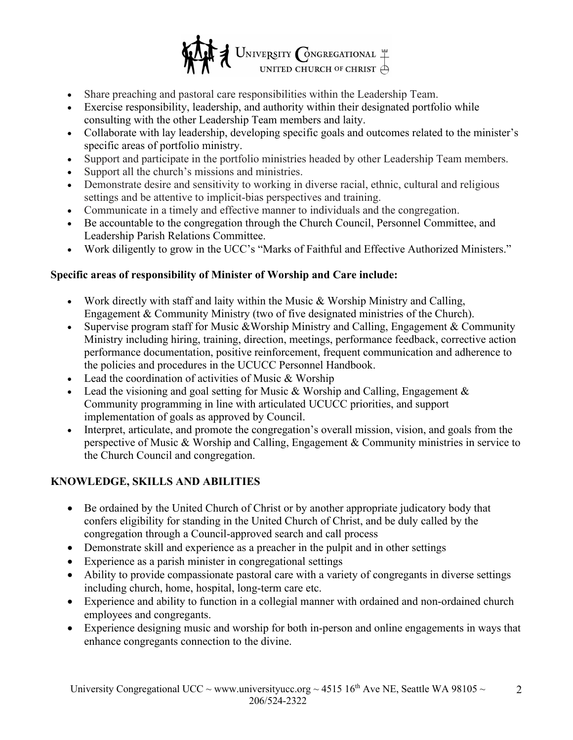

- Share preaching and pastoral care responsibilities within the Leadership Team.
- Exercise responsibility, leadership, and authority within their designated portfolio while consulting with the other Leadership Team members and laity.
- Collaborate with lay leadership, developing specific goals and outcomes related to the minister's specific areas of portfolio ministry.
- Support and participate in the portfolio ministries headed by other Leadership Team members.
- Support all the church's missions and ministries.
- Demonstrate desire and sensitivity to working in diverse racial, ethnic, cultural and religious settings and be attentive to implicit-bias perspectives and training.
- Communicate in a timely and effective manner to individuals and the congregation.
- Be accountable to the congregation through the Church Council, Personnel Committee, and Leadership Parish Relations Committee.
- Work diligently to grow in the UCC's "Marks of Faithful and Effective Authorized Ministers."

## **Specific areas of responsibility of Minister of Worship and Care include:**

- Work directly with staff and laity within the Music & Worship Ministry and Calling, Engagement & Community Ministry (two of five designated ministries of the Church).
- Supervise program staff for Music & Worship Ministry and Calling, Engagement & Community Ministry including hiring, training, direction, meetings, performance feedback, corrective action performance documentation, positive reinforcement, frequent communication and adherence to the policies and procedures in the UCUCC Personnel Handbook.
- Lead the coordination of activities of Music & Worship
- Lead the visioning and goal setting for Music & Worship and Calling, Engagement  $\&$ Community programming in line with articulated UCUCC priorities, and support implementation of goals as approved by Council.
- Interpret, articulate, and promote the congregation's overall mission, vision, and goals from the perspective of Music & Worship and Calling, Engagement & Community ministries in service to the Church Council and congregation.

## **KNOWLEDGE, SKILLS AND ABILITIES**

- Be ordained by the United Church of Christ or by another appropriate judicatory body that confers eligibility for standing in the United Church of Christ, and be duly called by the congregation through a Council-approved search and call process
- Demonstrate skill and experience as a preacher in the pulpit and in other settings
- Experience as a parish minister in congregational settings
- Ability to provide compassionate pastoral care with a variety of congregants in diverse settings including church, home, hospital, long-term care etc.
- Experience and ability to function in a collegial manner with ordained and non-ordained church employees and congregants.
- Experience designing music and worship for both in-person and online engagements in ways that enhance congregants connection to the divine.